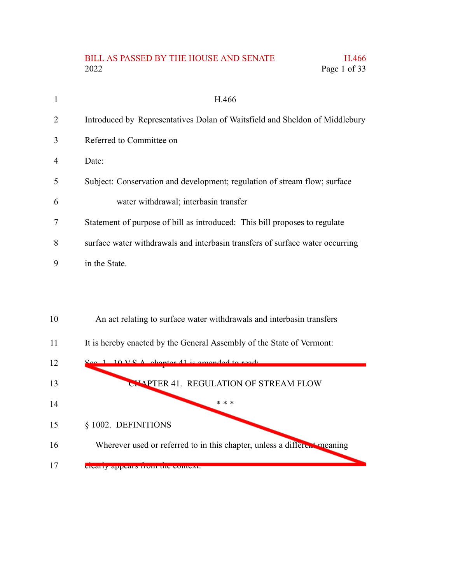## BILL AS PASSED BY THE HOUSE AND SENATE H.466 2022 Page 1 of 33

|    | H.466                                                                         |
|----|-------------------------------------------------------------------------------|
| 2  | Introduced by Representatives Dolan of Waitsfield and Sheldon of Middlebury   |
| 3  | Referred to Committee on                                                      |
| 4  | Date:                                                                         |
| 5  | Subject: Conservation and development; regulation of stream flow; surface     |
| 6  | water withdrawal; interbasin transfer                                         |
| 7  | Statement of purpose of bill as introduced: This bill proposes to regulate    |
| 8  | surface water withdrawals and interbasin transfers of surface water occurring |
| 9  | in the State.                                                                 |
|    |                                                                               |
|    |                                                                               |
| 10 | An act relating to surface water withdrawals and interbasin transfers         |

It is hereby enacted by the General Assembly of the State of Vermont: 11

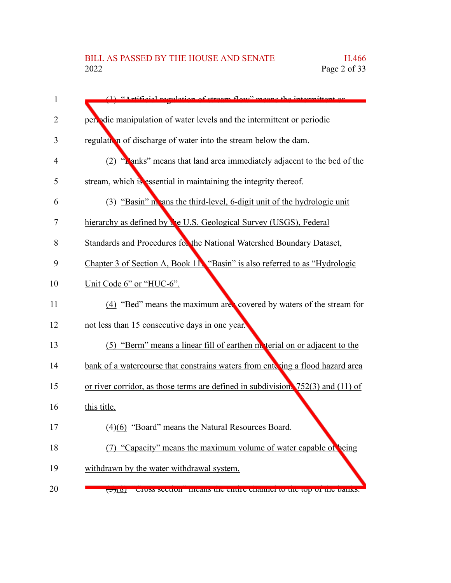| $\mathbf{1}$ | $(1)$ "Artificial requision of stream flow" means the intermittant or                |
|--------------|--------------------------------------------------------------------------------------|
| 2            | periodic manipulation of water levels and the intermittent or periodic               |
| 3            | regulation of discharge of water into the stream below the dam.                      |
| 4            | "Lanks" means that land area immediately adjacent to the bed of the<br>(2)           |
| 5            | stream, which is essential in maintaining the integrity thereof.                     |
| 6            | (3) "Basin" m ans the third-level, 6-digit unit of the hydrologic unit               |
| 7            | hierarchy as defined by the U.S. Geological Survey (USGS), Federal                   |
| 8            | Standards and Procedures for the National Watershed Boundary Dataset,                |
| 9            | Chapter 3 of Section A, Book 11. "Basin" is also referred to as "Hydrologic          |
| 10           | Unit Code 6" or "HUC-6".                                                             |
| 11           | (4) "Bed" means the maximum are covered by waters of the stream for                  |
| 12           | not less than 15 consecutive days in one year.                                       |
| 13           | (5) "Berm" means a linear fill of earthen moterial on or adjacent to the             |
| 14           | bank of a watercourse that constrains waters from entering a flood hazard area       |
| 15           | or river corridor, as those terms are defined in subdivision. $752(3)$ and $(11)$ of |
| 16           | this title.                                                                          |
| 17           | (4)(6) "Board" means the Natural Resources Board.                                    |
| 18           | (7) "Capacity" means the maximum volume of water capable of being                    |
| 19           | withdrawn by the water withdrawal system.                                            |
| 20           | Cross secuon - means the entire channel to the top of the banks.<br><u>रिम्पण</u>    |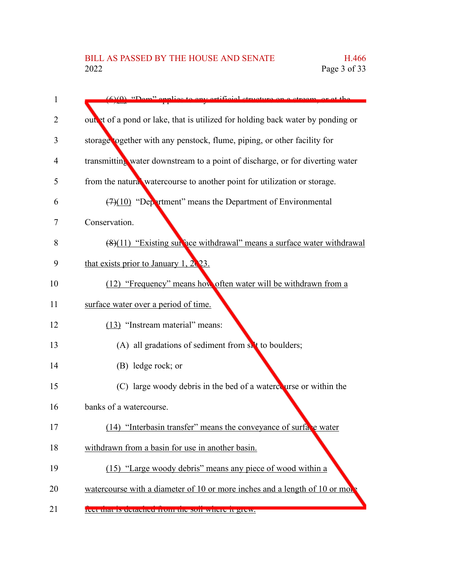| $\mathbf{1}$ | (6)(0) "Dam" applies to envertified structure on a stream or at the             |
|--------------|---------------------------------------------------------------------------------|
| 2            | out at of a pond or lake, that is utilized for holding back water by ponding or |
| 3            | storage together with any penstock, flume, piping, or other facility for        |
| 4            | transmitting water downstream to a point of discharge, or for diverting water   |
| 5            | from the natural watercourse to another point for utilization or storage.       |
| 6            | $(7)(10)$ "Department" means the Department of Environmental                    |
| 7            | Conservation.                                                                   |
| 8            | (8)(11) "Existing surface withdrawal" means a surface water withdrawal          |
| 9            | that exists prior to January 1, $2\sqrt{23}$ .                                  |
| 10           | (12) "Frequency" means how often water will be withdrawn from a                 |
| 11           | surface water over a period of time.                                            |
| 12           | (13) "Instream material" means:                                                 |
| 13           | (A) all gradations of sediment from sit to boulders;                            |
| 14           | (B) ledge rock; or                                                              |
| 15           | (C) large woody debris in the bed of a watercourse or within the                |
| 16           | banks of a watercourse.                                                         |
| 17           | (14) "Interbasin transfer" means the conveyance of surface water                |
| 18           | withdrawn from a basin for use in another basin.                                |
| 19           | (15) "Large woody debris" means any piece of wood within a                      |
| 20           | watercourse with a diameter of 10 or more inches and a length of 10 or more     |
| 21           | reer that is detached from the son where it grew.                               |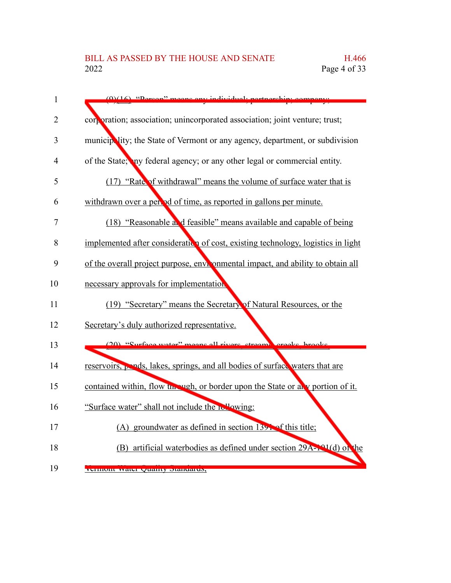| $\mathbf{1}$ | sone ony individual.<br>$(0)(16)$ "Dorson"<br>artnarch                            |
|--------------|-----------------------------------------------------------------------------------|
| 2            | corporation; association; unincorporated association; joint venture; trust;       |
| 3            | municipality; the State of Vermont or any agency, department, or subdivision      |
| 4            | of the State; any federal agency; or any other legal or commercial entity.        |
| 5            | (17) "Rate of withdrawal" means the volume of surface water that is               |
| 6            | withdrawn over a period of time, as reported in gallons per minute.               |
| 7            | (18) "Reasonable and feasible" means available and capable of being               |
| 8            | implemented after consideration of cost, existing technology, logistics in light  |
| 9            | of the overall project purpose, environmental impact, and ability to obtain all   |
| 10           | necessary approvals for implementation                                            |
| 11           | (19) "Secretary" means the Secretary of Natural Resources, or the                 |
| 12           | Secretary's duly authorized representative.                                       |
| 13           | (20) "Surface water" means all rivers streams creeks brooks                       |
| 14           | reservoirs, pends, lakes, springs, and all bodies of surface waters that are      |
| 15           | contained within, flow the vigh, or border upon the State or all v portion of it. |
| 16           | "Surface water" shall not include the relaying:                                   |
| 17           | (A) groundwater as defined in section $139$ . of this title;                      |
| 18           | (B) artificial waterbodies as defined under section 29A-191(d) of the             |
| 19           | vennom water quanty otanuarus,                                                    |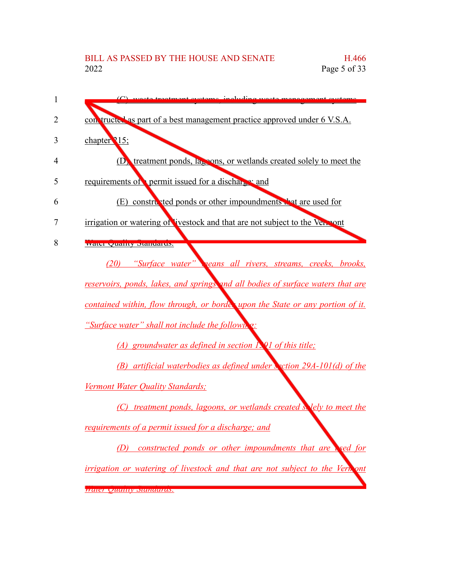| con tructed as part of a best management practice approved under 6 V.S.A.          |
|------------------------------------------------------------------------------------|
| chapter 215;                                                                       |
| (D) treatment ponds, la <sub>p</sub> pons, or wetlands created solely to meet the  |
| requirements of permit issued for a discharge and                                  |
| (E) constructed ponds or other impoundments that are used for                      |
| irrigation or watering of livestock and that are not subject to the Vermont        |
| water Quanty Diamuarus.                                                            |
| (20) "Surface water" <b>veans all rivers</b> , streams, creeks, brooks,            |
| reservoirs, ponds, lakes, and springs and all bodies of surface waters that are    |
| contained within, flow through, or borde, upon the State or any portion of it.     |
| <i>"Surface water" shall not include the followir</i>                              |
| (A) groundwater as defined in section $\Gamma$ Q1 of this title;                   |
| (B) artificial waterbodies as defined under section 29A-101(d) of the              |
| Vermont Water Quality Standards;                                                   |
| (C) treatment ponds, lagoons, or wetlands created solely to meet the               |
| requirements of a permit issued for a discharge; and                               |
| <b>constructed ponds or other impoundments that are read for</b><br>(D)            |
| <i>irrigation or watering of livestock and that are not subject to the Vernont</i> |
| <u> Waler Quality Standards.</u>                                                   |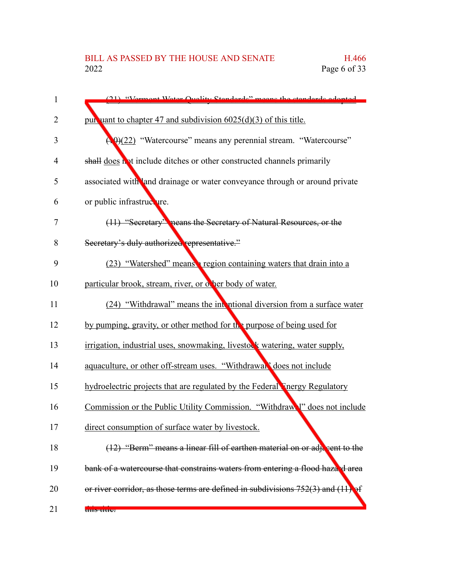| 1              | (21) "Vermont Water Quality Standards" means the standards adopted                   |
|----------------|--------------------------------------------------------------------------------------|
| $\overline{2}$ | pur uant to chapter 47 and subdivision $6025(d)(3)$ of this title.                   |
| 3              | (19)(22) "Watercourse" means any perennial stream. "Watercourse"                     |
| 4              | shall does not include ditches or other constructed channels primarily               |
| 5              | associated with land drainage or water conveyance through or around private          |
| 6              | or public infrastructure.                                                            |
| 7              | (11) "Secretary" neans the Secretary of Natural Resources, or the                    |
| 8              | Secretary's duly authorized representative."                                         |
| 9              | (23) "Watershed" means a region containing waters that drain into a                  |
| 10             | particular brook, stream, river, or other body of water.                             |
| 11             | (24) "Withdrawal" means the intertional diversion from a surface water               |
| 12             | by pumping, gravity, or other method for the purpose of being used for               |
| 13             | irrigation, industrial uses, snowmaking, livestock watering, water supply,           |
| 14             | aquaculture, or other off-stream uses. "Withdrawah" does not include                 |
| 15             | hydroelectric projects that are regulated by the Federal Tnergy Regulatory           |
| 16             | Commission or the Public Utility Commission. "Withdraw" does not include             |
| 17             | direct consumption of surface water by livestock.                                    |
| 18             | $(12)$ "Berm" means a linear fill of earthen material on or adjacent to the          |
| 19             | bank of a watercourse that constrains waters from entering a flood hazaed area       |
| 20             | or river corridor, as those terms are defined in subdivisions $752(3)$ and $(11)$ of |
| 21             | <del>uns uuc.</del>                                                                  |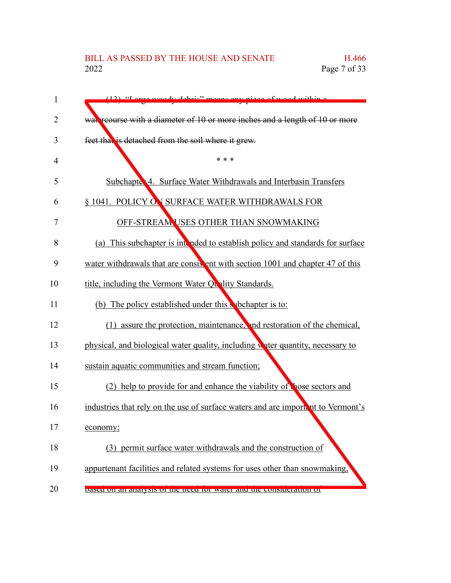# BILL AS PASSED BY THE HOUSE AND SENATE H.466<br>2022 Page 7 of 33

| $\mathbf{1}$   | (12) "Large woody debrie" means eny niego of wood within a                       |
|----------------|----------------------------------------------------------------------------------|
| $\overline{2}$ | wat reourse with a diameter of 10 or more inches and a length of 10 or more      |
| 3              | feet that is detached from the soil where it grew.                               |
| $\overline{4}$ | * * *                                                                            |
| 5              | Subchapte 4. Surface Water Withdrawals and Interbasin Transfers                  |
| 6              | § 1041. POLICY ON SURFACE WATER WITHDRAWALS FOR                                  |
| 7              | OFF-STREAM USES OTHER THAN SNOWMAKING                                            |
| 8              | (a) This subchapter is intended to establish policy and standards for surface    |
| 9              | water withdrawals that are consistent with section 1001 and chapter 47 of this   |
| 10             | title, including the Vermont Water Quality Standards.                            |
| 11             | (b) The policy established under this subchapter is to:                          |
| 12             | (1) assure the protection, maintenance, and restoration of the chemical,         |
| 13             | physical, and biological water quality, including water quantity, necessary to   |
| 14             | sustain aquatic communities and stream function;                                 |
| 15             | (2) help to provide for and enhance the viability of hose sectors and            |
| 16             | industries that rely on the use of surface waters and are importent to Vermont's |
| 17             | economy;                                                                         |
| 18             | (3) permit surface water withdrawals and the construction of                     |
| 19             | appurtenant facilities and related systems for uses other than snowmaking,       |
| 20             | based on an analysis of the need for water and the consideration of              |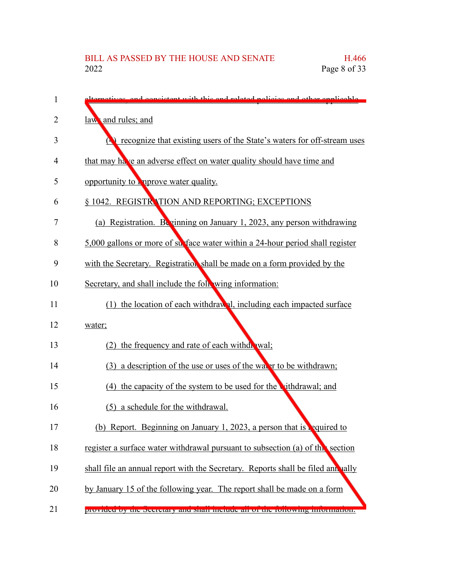| 1  | alternatives, and consistent with this and related policies and other applicable         |
|----|------------------------------------------------------------------------------------------|
| 2  | law and rules; and                                                                       |
| 3  | <b>Example 2</b> recognize that existing users of the State's waters for off-stream uses |
| 4  | that may have an adverse effect on water quality should have time and                    |
| 5  | opportunity to more water quality.                                                       |
| 6  | § 1042. REGISTRATION AND REPORTING; EXCEPTIONS                                           |
| 7  | (a) Registration. Beginning on January 1, 2023, any person withdrawing                   |
| 8  | 5,000 gallons or more of surface water within a 24-hour period shall register            |
| 9  | with the Secretary. Registration shall be made on a form provided by the                 |
| 10 | Secretary, and shall include the following information:                                  |
| 11 | (1) the location of each withdrawal, including each impacted surface                     |
| 12 | water;                                                                                   |
| 13 | (2) the frequency and rate of each withdrawal;                                           |
| 14 | (3) a description of the use or uses of the waver to be withdrawn;                       |
| 15 | (4) the capacity of the system to be used for the vithdrawal; and                        |
| 16 | (5) a schedule for the withdrawal.                                                       |
| 17 | (b) Report. Beginning on January 1, 2023, a person that is required to                   |
| 18 | register a surface water withdrawal pursuant to subsection (a) of the section            |
| 19 | shall file an annual report with the Secretary. Reports shall be filed ann vally         |
| 20 | by January 15 of the following year. The report shall be made on a form                  |
| 21 | provided by the Secretary and share include an or the ronowing information.              |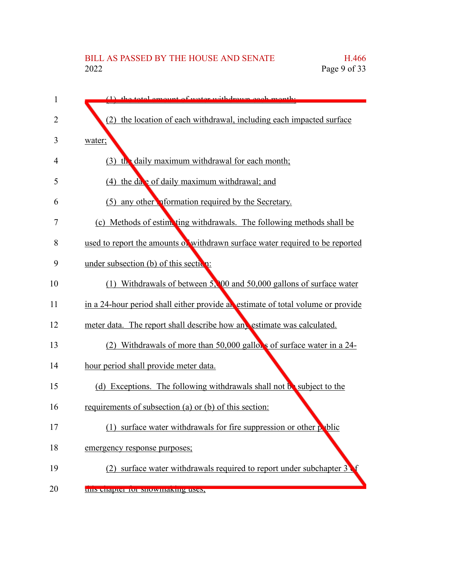# BILL AS PASSED BY THE HOUSE AND SENATE H.466<br>2022 Page 9 of 33 Page 9 of 33

| $\mathbf{1}$ | $(1)$ the total emount of water withdrawn each month                            |
|--------------|---------------------------------------------------------------------------------|
| 2            | (2) the location of each withdrawal, including each impacted surface            |
| 3            | water;                                                                          |
| 4            | $(3)$ the daily maximum withdrawal for each month;                              |
| 5            | (4) the date of daily maximum withdrawal; and                                   |
| 6            | (5) any other <b>optimization</b> required by the Secretary.                    |
| 7            | (c) Methods of estimating withdrawals. The following methods shall be           |
| 8            | used to report the amounts of withdrawn surface water required to be reported   |
| 9            | under subsection $(b)$ of this section:                                         |
| 10           | (1) Withdrawals of between 5, 00 and 50,000 gallons of surface water            |
| 11           | in a 24-hour period shall either provide an estimate of total volume or provide |
| 12           | meter data. The report shall describe how any estimate was calculated.          |
| 13           | Withdrawals of more than 50,000 gallons of surface water in a 24-<br>(2)        |
| 14           | hour period shall provide meter data.                                           |
| 15           | (d) Exceptions. The following withdrawals shall not be subject to the           |
| 16           | requirements of subsection (a) or (b) of this section:                          |
| 17           | (1) surface water withdrawals for fire suppression or other public              |
| 18           | emergency response purposes;                                                    |
| 19           | surface water withdrawals required to report under subchapter 3                 |
| 20           | tins enapter for showmaking uses,                                               |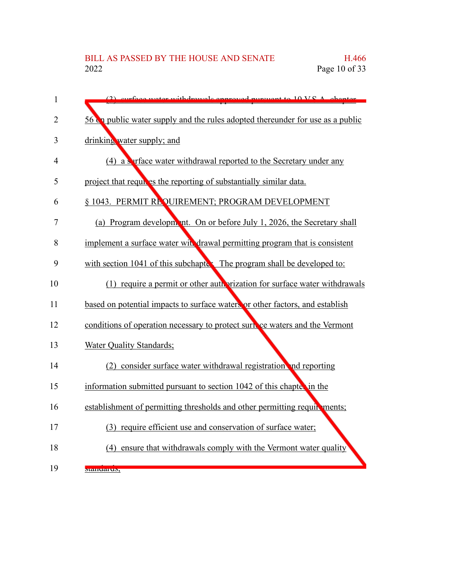| $\mathbf{1}$   | (2) curface water withdrawalc approved purguant to 10 V.C.A. chapter           |
|----------------|--------------------------------------------------------------------------------|
| $\overline{2}$ | 56 ca public water supply and the rules adopted thereunder for use as a public |
| 3              | drinking water supply; and                                                     |
| 4              | (4) a surface water withdrawal reported to the Secretary under any             |
| 5              | project that requires the reporting of substantially similar data.             |
| 6              | § 1043. PERMIT REQUIREMENT; PROGRAM DEVELOPMENT                                |
| 7              | (a) Program development. On or before July 1, 2026, the Secretary shall        |
| 8              | implement a surface water with drawal permitting program that is consistent    |
| 9              | with section 1041 of this subchapte. The program shall be developed to:        |
| 10             | (1) require a permit or other authorization for surface water withdrawals      |
| 11             | based on potential impacts to surface waters or other factors, and establish   |
| 12             | conditions of operation necessary to protect surface waters and the Vermont    |
| 13             | Water Quality Standards;                                                       |
| 14             | (2) consider surface water withdrawal registration and reporting               |
| 15             | information submitted pursuant to section 1042 of this chapter in the          |
| 16             | establishment of permitting thresholds and other permitting requirements;      |
| 17             | (3) require efficient use and conservation of surface water;                   |
| 18             | (4) ensure that withdrawals comply with the Vermont water quality              |
| 19             | stanuarus,                                                                     |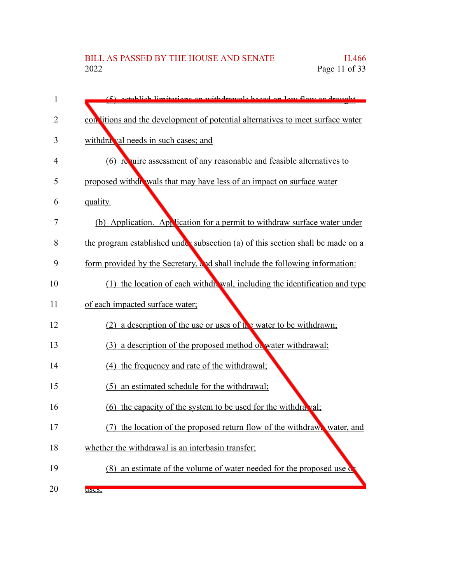| 1  | (5) octoblish limitations on withdrawals besed on low flow or drought           |
|----|---------------------------------------------------------------------------------|
| 2  | con litions and the development of potential alternatives to meet surface water |
| 3  | withdra val needs in such cases; and                                            |
| 4  | (6) require assessment of any reasonable and feasible alternatives to           |
| 5  | proposed withdr wals that may have less of an impact on surface water           |
| 6  | quality.                                                                        |
| 7  | (b) Application. Application for a permit to withdraw surface water under       |
| 8  | the program established under subsection (a) of this section shall be made on a |
| 9  | form provided by the Secretary, and shall include the following information:    |
| 10 | (1) the location of each withdrawal, including the identification and type      |
| 11 | of each impacted surface water;                                                 |
| 12 | (2) a description of the use or uses of $\mathfrak{t}_1$ water to be withdrawn; |
| 13 | (3) a description of the proposed method of water withdrawal;                   |
| 14 | (4) the frequency and rate of the withdrawal;                                   |
| 15 | an estimated schedule for the withdrawal;<br>(5)                                |
| 16 | (6) the capacity of the system to be used for the withdra val;                  |
| 17 | the location of the proposed return flow of the withdrawn water, and<br>(7)     |
| 18 | whether the withdrawal is an interbasin transfer;                               |
| 19 | (8) an estimate of the volume of water needed for the proposed use of           |
| 20 | uscs,                                                                           |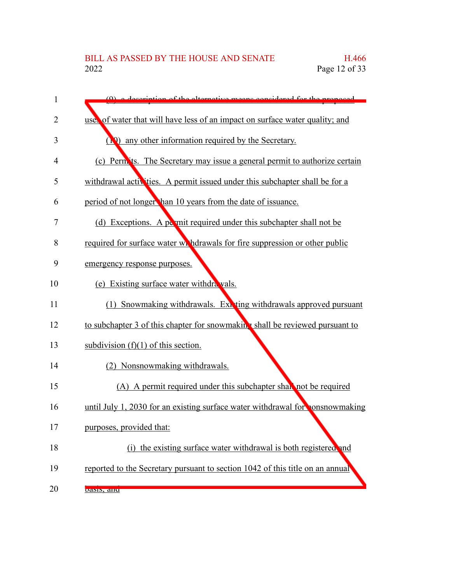| 1              | (0) a decernition of the alternative means considered for the proposed        |
|----------------|-------------------------------------------------------------------------------|
| $\overline{2}$ | use, of water that will have less of an impact on surface water quality; and  |
| 3              | (1) any other information required by the Secretary.                          |
| 4              | (c) Perm its. The Secretary may issue a general permit to authorize certain   |
| 5              | withdrawal activities. A permit issued under this subchapter shall be for a   |
| 6              | period of not longer han 10 years from the date of issuance.                  |
| 7              | (d) Exceptions. A permit required under this subchapter shall not be          |
| 8              | required for surface water wr hdrawals for fire suppression or other public   |
| 9              | emergency response purposes.                                                  |
| 10             | (e) Existing surface water withdra vals.                                      |
| 11             | Snowmaking withdrawals. Ext ting withdrawals approved pursuant<br>(1)         |
| 12             | to subchapter 3 of this chapter for snowmaking shall be reviewed pursuant to  |
| 13             | subdivision $(f)(1)$ of this section.                                         |
| 14             | (2) Nonsnowmaking withdrawals.                                                |
| 15             | (A) A permit required under this subchapter shall not be required             |
| 16             | until July 1, 2030 for an existing surface water withdrawal for consnowmaking |
| 17             | purposes, provided that:                                                      |
| 18             | (i) the existing surface water withdrawal is both registered and              |
| 19             | reported to the Secretary pursuant to section 1042 of this title on an annual |
| 20             | vasis, anu                                                                    |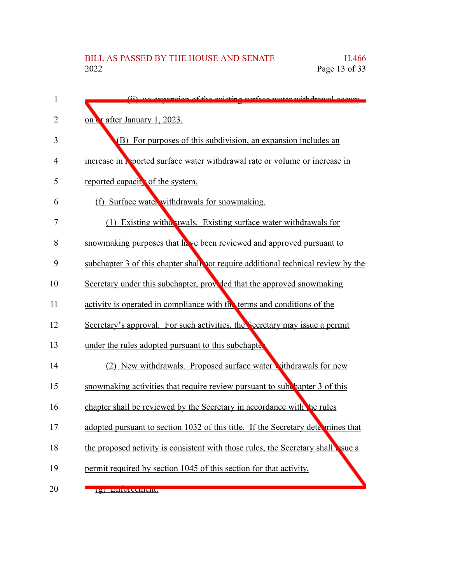| 1  | (ii) no expansion of the evicting surface water withdrawal occurs                 |
|----|-----------------------------------------------------------------------------------|
| 2  | on & after January 1, 2023.                                                       |
| 3  | (B) For purposes of this subdivision, an expansion includes an                    |
| 4  | increase in <b>Prooffer and Strategier and Strate</b> or volume or increase in    |
| 5  | reported capacity of the system.                                                  |
| 6  | (f) Surface water withdrawals for snowmaking.                                     |
| 7  | (1) Existing with a wals. Existing surface water with drawals for                 |
| 8  | snowmaking purposes that hove been reviewed and approved pursuant to              |
| 9  | subchapter 3 of this chapter shall not require additional technical review by the |
| 10 | Secretary under this subchapter, provided that the approved snowmaking            |
| 11 | activity is operated in compliance with the terms and conditions of the           |
| 12 | Secretary's approval. For such activities, the Secretary may issue a permit       |
| 13 | under the rules adopted pursuant to this subchapte                                |
| 14 | New withdrawals. Proposed surface water withdrawals for new                       |
| 15 | snowmaking activities that require review pursuant to subchapter 3 of this        |
| 16 | chapter shall be reviewed by the Secretary in accordance with the rules           |
| 17 | adopted pursuant to section 1032 of this title. If the Secretary determines that  |
| 18 | the proposed activity is consistent with those rules, the Secretary shall sue a   |
| 19 | permit required by section 1045 of this section for that activity.                |
| 20 | <u>е плиослисии</u>                                                               |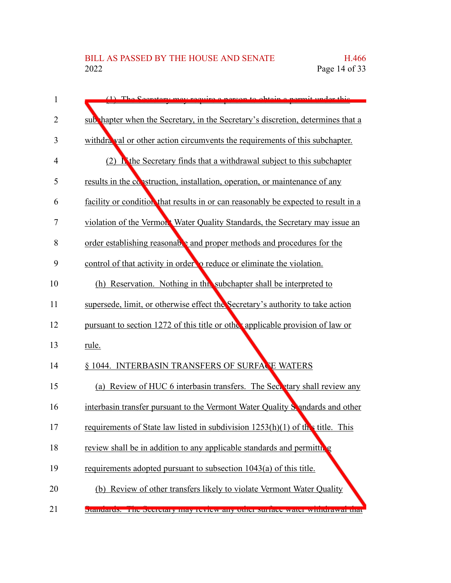| 1  | (1) The Coerctory may require a person to obtain a permit under this               |
|----|------------------------------------------------------------------------------------|
| 2  | sub hapter when the Secretary, in the Secretary's discretion, determines that a    |
| 3  | withdra val or other action circumvents the requirements of this subchapter.       |
| 4  | (2) I the Secretary finds that a withdrawal subject to this subchapter             |
| 5  | results in the construction, installation, operation, or maintenance of any        |
| 6  | facility or condition that results in or can reasonably be expected to result in a |
| 7  | violation of the Vermon't Water Quality Standards, the Secretary may issue an      |
| 8  | order establishing reasonable and proper methods and procedures for the            |
| 9  | control of that activity in order to reduce or eliminate the violation.            |
| 10 | (h) Reservation. Nothing in this subchapter shall be interpreted to                |
| 11 | supersede, limit, or otherwise effect the Secretary's authority to take action     |
| 12 | pursuant to section 1272 of this title or other applicable provision of law or     |
| 13 | rule.                                                                              |
| 14 | § 1044. INTERBASIN TRANSFERS OF SURFACE WATERS                                     |
| 15 | (a) Review of HUC 6 interbasin transfers. The Secretary shall review any           |
| 16 | interbasin transfer pursuant to the Vermont Water Quality Sandards and other       |
| 17 | requirements of State law listed in subdivision $1253(h)(1)$ of the title. This    |
| 18 | review shall be in addition to any applicable standards and permitting             |
| 19 | requirements adopted pursuant to subsection 1043(a) of this title.                 |
| 20 | (b) Review of other transfers likely to violate Vermont Water Quality              |
| 21 | Standards. The Secretary may review any other surface water while tawar that       |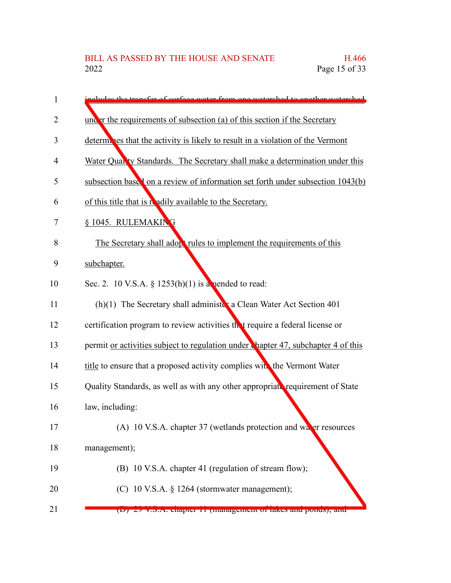| 1  | includes the transfer of surface water from one watershed to enother watershed.            |
|----|--------------------------------------------------------------------------------------------|
| 2  | under the requirements of subsection (a) of this section if the Secretary                  |
| 3  | determines that the activity is likely to result in a violation of the Vermont             |
| 4  | Water Quan'ty Standards. The Secretary shall make a determination under this               |
| 5  | subsection base <sup>1</sup> on a review of information set forth under subsection 1043(b) |
| 6  | of this title that is readily available to the Secretary.                                  |
| 7  | § 1045. RULEMAKING                                                                         |
| 8  | The Secretary shall adopt rules to implement the requirements of this                      |
| 9  | subchapter.                                                                                |
| 10 | Sec. 2. 10 V.S.A. § 1253(h)(1) is a nended to read:                                        |
| 11 | (h)(1) The Secretary shall administer a Clean Water Act Section 401                        |
| 12 | certification program to review activities thet require a federal license or               |
| 13 | permit or activities subject to regulation under Chapter 47, subchapter 4 of this          |
| 14 | title to ensure that a proposed activity complies with the Vermont Water                   |
| 15 | Quality Standards, as well as with any other appropriate requirement of State              |
| 16 | law, including:                                                                            |
| 17 | (A) 10 V.S.A. chapter 37 (wetlands protection and water resources                          |
| 18 | management);                                                                               |
| 19 | (B) 10 V.S.A. chapter 41 (regulation of stream flow);                                      |
| 20 | (C) 10 V.S.A. § 1264 (stormwater management);                                              |
| 21 | (D) 27 v.S.A. chapter 11 (management or takes and ponds), and                              |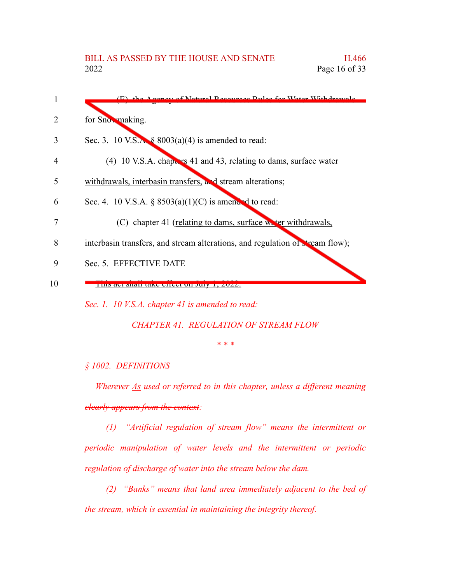| 1              | (E) the Aconey of Notwol Deseurces Pules for Weter Withdrawals               |
|----------------|------------------------------------------------------------------------------|
|                | for Snowmaking.                                                              |
| 3              | Sec. 3. 10 V.S.A. $\&$ 8003(a)(4) is amended to read:                        |
| $\overline{4}$ | $(4)$ 10 V.S.A. chappers 41 and 43, relating to dams, surface water          |
| 5              | withdrawals, interbasin transfers, and stream alterations;                   |
| 6              | Sec. 4. 10 V.S.A. $\S$ 8503(a)(1)(C) is amended to read:                     |
| 7              | (C) chapter 41 (relating to dams, surface we ter withdrawals,                |
| 8              | interbasin transfers, and stream alterations, and regulation of tream flow); |
| 9              | Sec. 5. EFFECTIVE DATE                                                       |
| 10             | THIS act shall take effect on July 1, 2022.                                  |
|                | Sec. 1. 10 V.S.A. chapter 41 is amended to read:                             |

*CHAPTER 41. REGULATION OF STREAM FLOW*

*\* \* \**

#### *§ 1002. DEFINITIONS*

*Wherever As used or referred to in this chapter, unless a different meaning clearly appears from the context:*

*(1) "Artificial regulation of stream flow" means the intermittent or periodic manipulation of water levels and the intermittent or periodic regulation of discharge of water into the stream below the dam.*

*(2) "Banks" means that land area immediately adjacent to the bed of the stream, which is essential in maintaining the integrity thereof.*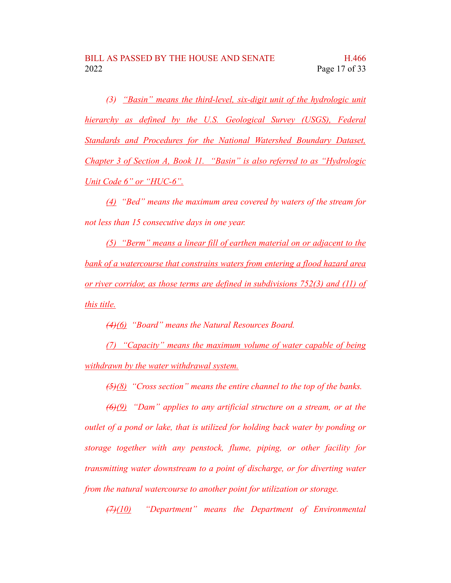*(3) "Basin" means the third-level, six-digit unit of the hydrologic unit hierarchy as defined by the U.S. Geological Survey (USGS), Federal Standards and Procedures for the National Watershed Boundary Dataset, Chapter 3 of Section A, Book 11. "Basin" is also referred to as "Hydrologic Unit Code 6" or "HUC-6".*

*(4) "Bed" means the maximum area covered by waters of the stream for not less than 15 consecutive days in one year.*

*(5) "Berm" means a linear fill of earthen material on or adjacent to the bank of a watercourse that constrains waters from entering a flood hazard area or river corridor, as those terms are defined in subdivisions 752(3) and (11) of this title.*

*(4)(6) "Board" means the Natural Resources Board.*

*(7) "Capacity" means the maximum volume of water capable of being withdrawn by the water withdrawal system.*

*(5)(8) "Cross section" means the entire channel to the top of the banks.*

*(6)(9) "Dam" applies to any artificial structure on a stream, or at the outlet of a pond or lake, that is utilized for holding back water by ponding or storage together with any penstock, flume, piping, or other facility for transmitting water downstream to a point of discharge, or for diverting water from the natural watercourse to another point for utilization or storage.*

*(7)(10) "Department" means the Department of Environmental*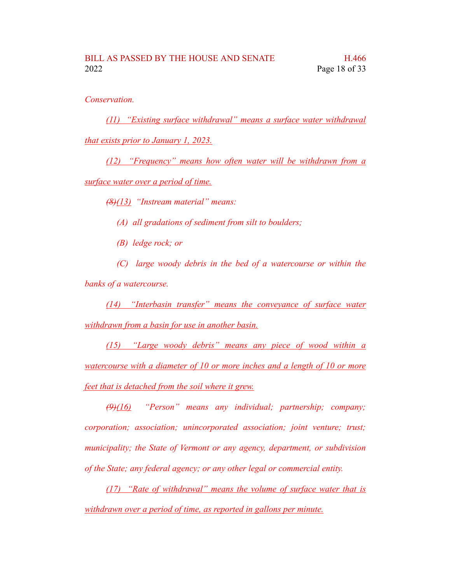*Conservation.*

*(11) "Existing surface withdrawal" means a surface water withdrawal that exists prior to January 1, 2023.*

*(12) "Frequency" means how often water will be withdrawn from a surface water over a period of time.*

*(8)(13) "Instream material" means:*

*(A) all gradations of sediment from silt to boulders;*

*(B) ledge rock; or*

*(C) large woody debris in the bed of a watercourse or within the banks of a watercourse.*

*(14) "Interbasin transfer" means the conveyance of surface water withdrawn from a basin for use in another basin.*

*(15) "Large woody debris" means any piece of wood within a watercourse with a diameter of 10 or more inches and a length of 10 or more feet that is detached from the soil where it grew.*

*(9)(16) "Person" means any individual; partnership; company; corporation; association; unincorporated association; joint venture; trust; municipality; the State of Vermont or any agency, department, or subdivision of the State; any federal agency; or any other legal or commercial entity.*

*(17) "Rate of withdrawal" means the volume of surface water that is withdrawn over a period of time, as reported in gallons per minute.*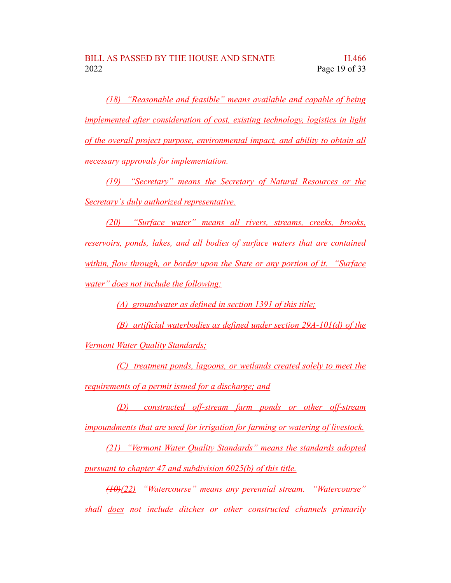*(18) "Reasonable and feasible" means available and capable of being implemented after consideration of cost, existing technology, logistics in light of the overall project purpose, environmental impact, and ability to obtain all necessary approvals for implementation.*

*(19) "Secretary" means the Secretary of Natural Resources or the Secretary's duly authorized representative.*

*(20) "Surface water" means all rivers, streams, creeks, brooks, reservoirs, ponds, lakes, and all bodies of surface waters that are contained within, flow through, or border upon the State or any portion of it. "Surface water" does not include the following:*

*(A) groundwater as defined in section 1391 of this title;*

*(B) artificial waterbodies as defined under section 29A-101(d) of the Vermont Water Quality Standards;*

*(C) treatment ponds, lagoons, or wetlands created solely to meet the requirements of a permit issued for a discharge; and*

*(D) constructed off-stream farm ponds or other off-stream impoundments that are used for irrigation for farming or watering of livestock.*

*(21) "Vermont Water Quality Standards" means the standards adopted pursuant to chapter 47 and subdivision 6025(b) of this title.*

*(10)(22) "Watercourse" means any perennial stream. "Watercourse" shall does not include ditches or other constructed channels primarily*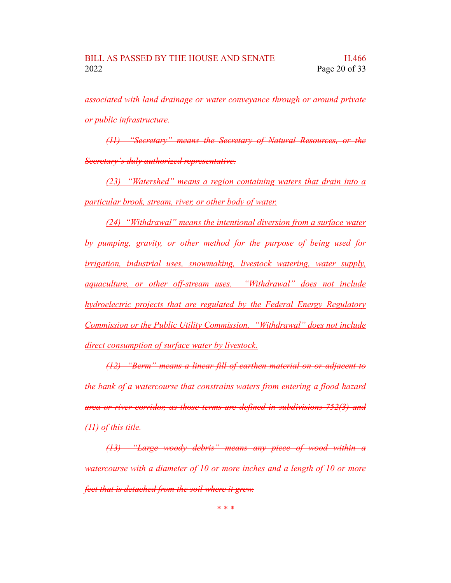*associated with land drainage or water conveyance through or around private or public infrastructure.*

*(11) "Secretary" means the Secretary of Natural Resources, or the Secretary's duly authorized representative.*

*(23) "Watershed" means a region containing waters that drain into a particular brook, stream, river, or other body of water.*

*(24) "Withdrawal" means the intentional diversion from a surface water by pumping, gravity, or other method for the purpose of being used for irrigation, industrial uses, snowmaking, livestock watering, water supply, aquaculture, or other off-stream uses. "Withdrawal" does not include hydroelectric projects that are regulated by the Federal Energy Regulatory Commission or the Public Utility Commission. "Withdrawal" does not include direct consumption of surface water by livestock.*

*(12) "Berm" means a linear fill of earthen material on or adjacent to the bank of a watercourse that constrains waters from entering a flood hazard area or river corridor, as those terms are defined in subdivisions 752(3) and (11) of this title.*

*(13) "Large woody debris" means any piece of wood within a watercourse with a diameter of 10 or more inches and a length of 10 or more feet that is detached from the soil where it grew.*

*\* \* \**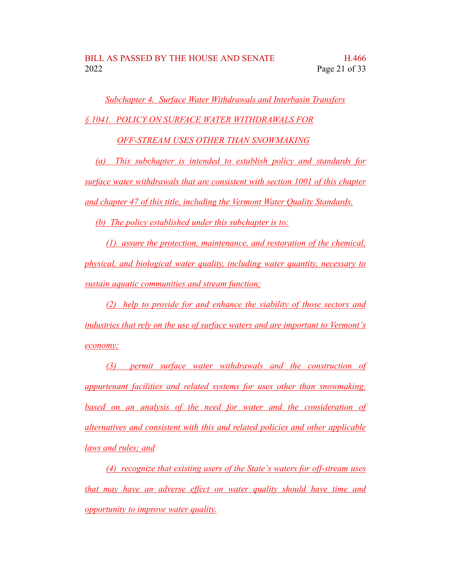*Subchapter 4. Surface Water Withdrawals and Interbasin Transfers § 1041. POLICY ON SURFACE WATER WITHDRAWALS FOR*

*OFF-STREAM USES OTHER THAN SNOWMAKING*

*(a) This subchapter is intended to establish policy and standards for surface water withdrawals that are consistent with section 1001 of this chapter and chapter 47 of this title, including the Vermont Water Quality Standards.*

*(b) The policy established under this subchapter is to:*

*(1) assure the protection, maintenance, and restoration of the chemical, physical, and biological water quality, including water quantity, necessary to sustain aquatic communities and stream function;*

*(2) help to provide for and enhance the viability of those sectors and industries that rely on the use of surface waters and are important to Vermont's economy;*

*(3) permit surface water withdrawals and the construction of appurtenant facilities and related systems for uses other than snowmaking, based on an analysis of the need for water and the consideration of alternatives and consistent with this and related policies and other applicable laws and rules; and*

*(4) recognize that existing users of the State's waters for off-stream uses that may have an adverse effect on water quality should have time and opportunity to improve water quality.*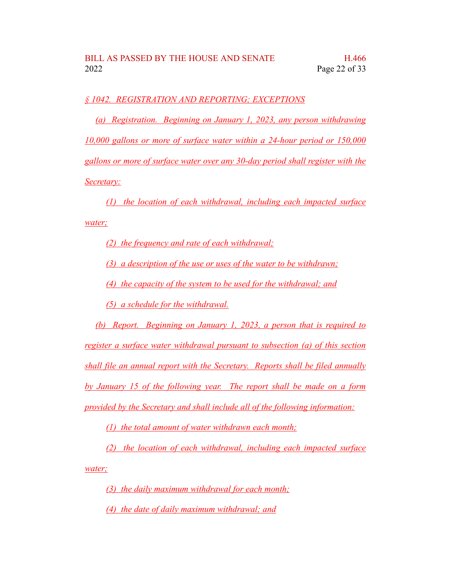### *§ 1042. REGISTRATION AND REPORTING; EXCEPTIONS*

*(a) Registration. Beginning on January 1, 2023, any person withdrawing 10,000 gallons or more of surface water within a 24-hour period or 150,000 gallons or more of surface water over any 30-day period shall register with the Secretary:*

*(1) the location of each withdrawal, including each impacted surface water;*

*(2) the frequency and rate of each withdrawal;*

*(3) a description of the use or uses of the water to be withdrawn;*

*(4) the capacity of the system to be used for the withdrawal; and*

*(5) a schedule for the withdrawal.*

*(b) Report. Beginning on January 1, 2023, a person that is required to register a surface water withdrawal pursuant to subsection (a) of this section shall file an annual report with the Secretary. Reports shall be filed annually by January 15 of the following year. The report shall be made on a form provided by the Secretary and shall include all of the following information:*

*(1) the total amount of water withdrawn each month;*

*(2) the location of each withdrawal, including each impacted surface water;*

*(3) the daily maximum withdrawal for each month;*

*(4) the date of daily maximum withdrawal; and*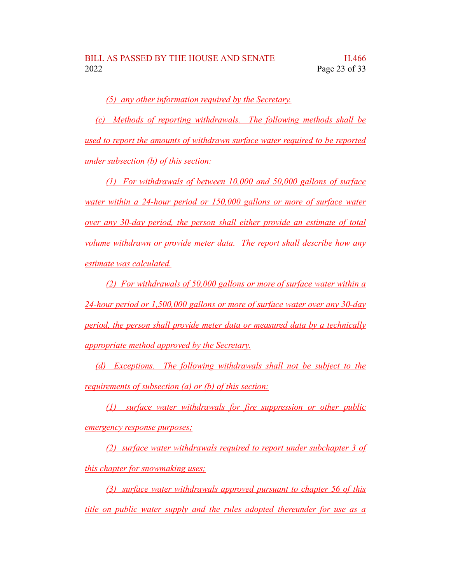*(5) any other information required by the Secretary.*

*(c) Methods of reporting withdrawals. The following methods shall be used to report the amounts of withdrawn surface water required to be reported under subsection (b) of this section:*

*(1) For withdrawals of between 10,000 and 50,000 gallons of surface water within a 24-hour period or 150,000 gallons or more of surface water over any 30-day period, the person shall either provide an estimate of total volume withdrawn or provide meter data. The report shall describe how any estimate was calculated.*

*(2) For withdrawals of 50,000 gallons or more of surface water within a 24-hour period or 1,500,000 gallons or more of surface water over any 30-day period, the person shall provide meter data or measured data by a technically appropriate method approved by the Secretary.*

*(d) Exceptions. The following withdrawals shall not be subject to the requirements of subsection (a) or (b) of this section:*

*(1) surface water withdrawals for fire suppression or other public emergency response purposes;*

*(2) surface water withdrawals required to report under subchapter 3 of this chapter for snowmaking uses;*

*(3) surface water withdrawals approved pursuant to chapter 56 of this title on public water supply and the rules adopted thereunder for use as a*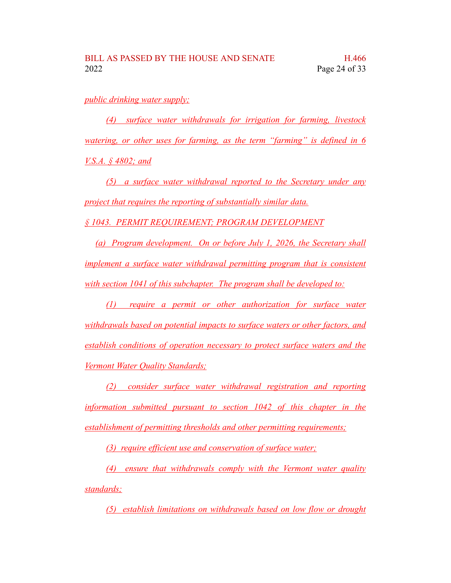#### *public drinking water supply;*

*(4) surface water withdrawals for irrigation for farming, livestock watering, or other uses for farming, as the term "farming" is defined in 6 V.S.A. § 4802; and*

*(5) a surface water withdrawal reported to the Secretary under any project that requires the reporting of substantially similar data.*

*§ 1043. PERMIT REQUIREMENT; PROGRAM DEVELOPMENT*

*(a) Program development. On or before July 1, 2026, the Secretary shall implement a surface water withdrawal permitting program that is consistent with section 1041 of this subchapter. The program shall be developed to:*

*(1) require a permit or other authorization for surface water withdrawals based on potential impacts to surface waters or other factors, and establish conditions of operation necessary to protect surface waters and the Vermont Water Quality Standards;*

*(2) consider surface water withdrawal registration and reporting information submitted pursuant to section 1042 of this chapter in the establishment of permitting thresholds and other permitting requirements;*

*(3) require efficient use and conservation of surface water;*

*(4) ensure that withdrawals comply with the Vermont water quality standards;*

*(5) establish limitations on withdrawals based on low flow or drought*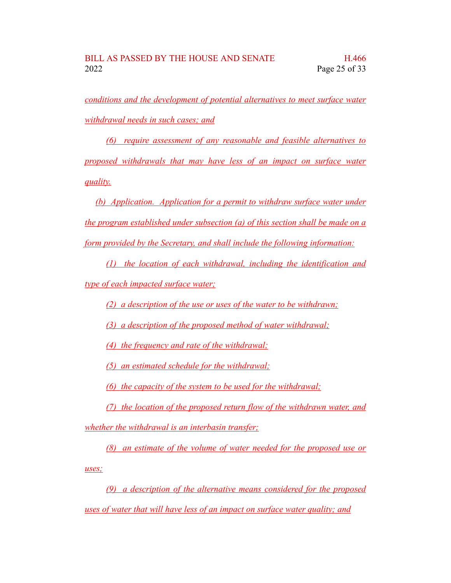*conditions and the development of potential alternatives to meet surface water withdrawal needs in such cases; and*

*(6) require assessment of any reasonable and feasible alternatives to proposed withdrawals that may have less of an impact on surface water quality.*

*(b) Application. Application for a permit to withdraw surface water under the program established under subsection (a) of this section shall be made on a form provided by the Secretary, and shall include the following information:*

*(1) the location of each withdrawal, including the identification and type of each impacted surface water;*

*(2) a description of the use or uses of the water to be withdrawn;*

*(3) a description of the proposed method of water withdrawal;*

*(4) the frequency and rate of the withdrawal;*

*(5) an estimated schedule for the withdrawal;*

*(6) the capacity of the system to be used for the withdrawal;*

*(7) the location of the proposed return flow of the withdrawn water, and whether the withdrawal is an interbasin transfer;*

*(8) an estimate of the volume of water needed for the proposed use or uses;*

*(9) a description of the alternative means considered for the proposed uses of water that will have less of an impact on surface water quality; and*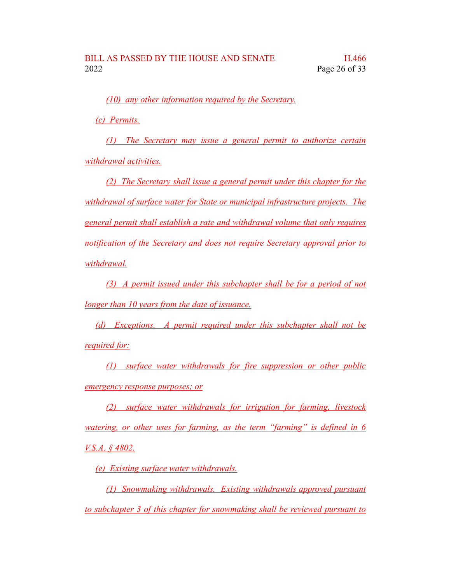*(10) any other information required by the Secretary.*

*(c) Permits.*

*(1) The Secretary may issue a general permit to authorize certain withdrawal activities.*

*(2) The Secretary shall issue a general permit under this chapter for the withdrawal of surface water for State or municipal infrastructure projects. The general permit shall establish a rate and withdrawal volume that only requires notification of the Secretary and does not require Secretary approval prior to withdrawal.*

*(3) A permit issued under this subchapter shall be for a period of not longer than 10 years from the date of issuance.*

*(d) Exceptions. A permit required under this subchapter shall not be required for:*

*(1) surface water withdrawals for fire suppression or other public emergency response purposes; or*

*(2) surface water withdrawals for irrigation for farming, livestock watering, or other uses for farming, as the term "farming" is defined in 6 V.S.A. § 4802.*

*(e) Existing surface water withdrawals.*

*(1) Snowmaking withdrawals. Existing withdrawals approved pursuant to subchapter 3 of this chapter for snowmaking shall be reviewed pursuant to*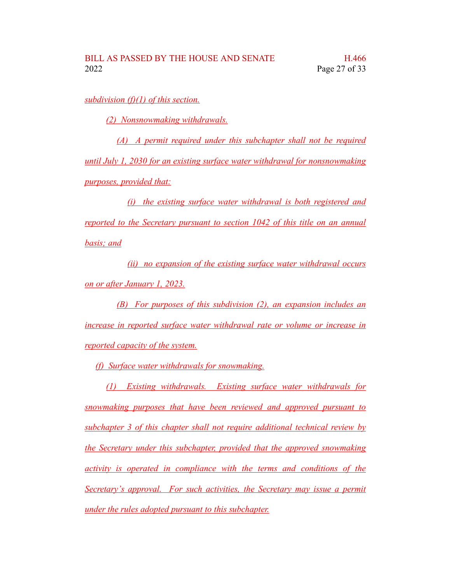*subdivision (f)(1) of this section.*

*(2) Nonsnowmaking withdrawals.*

*(A) A permit required under this subchapter shall not be required until July 1, 2030 for an existing surface water withdrawal for nonsnowmaking purposes, provided that:*

*(i) the existing surface water withdrawal is both registered and reported to the Secretary pursuant to section 1042 of this title on an annual basis; and*

*(ii) no expansion of the existing surface water withdrawal occurs on or after January 1, 2023.*

*(B) For purposes of this subdivision (2), an expansion includes an increase in reported surface water withdrawal rate or volume or increase in reported capacity of the system.*

*(f) Surface water withdrawals for snowmaking.*

*(1) Existing withdrawals. Existing surface water withdrawals for snowmaking purposes that have been reviewed and approved pursuant to subchapter 3 of this chapter shall not require additional technical review by the Secretary under this subchapter, provided that the approved snowmaking activity is operated in compliance with the terms and conditions of the Secretary's approval. For such activities, the Secretary may issue a permit under the rules adopted pursuant to this subchapter.*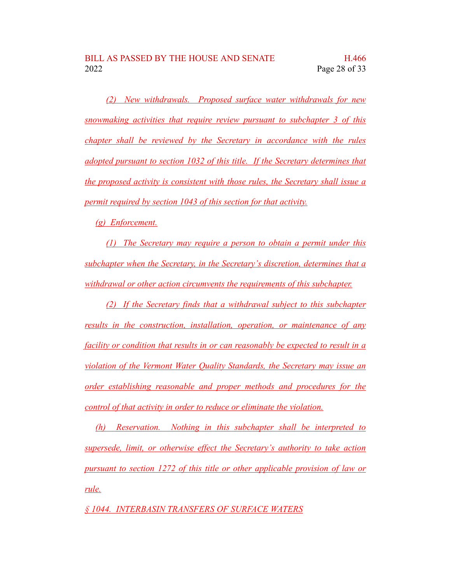*(2) New withdrawals. Proposed surface water withdrawals for new snowmaking activities that require review pursuant to subchapter 3 of this chapter shall be reviewed by the Secretary in accordance with the rules adopted pursuant to section 1032 of this title. If the Secretary determines that the proposed activity is consistent with those rules, the Secretary shall issue a permit required by section 1043 of this section for that activity.*

*(g) Enforcement.*

*(1) The Secretary may require a person to obtain a permit under this subchapter when the Secretary, in the Secretary's discretion, determines that a withdrawal or other action circumvents the requirements of this subchapter.*

*(2) If the Secretary finds that a withdrawal subject to this subchapter results in the construction, installation, operation, or maintenance of any facility or condition that results in or can reasonably be expected to result in a violation of the Vermont Water Quality Standards, the Secretary may issue an order establishing reasonable and proper methods and procedures for the control of that activity in order to reduce or eliminate the violation.*

*(h) Reservation. Nothing in this subchapter shall be interpreted to supersede, limit, or otherwise effect the Secretary's authority to take action pursuant to section 1272 of this title or other applicable provision of law or rule.*

*§ 1044. INTERBASIN TRANSFERS OF SURFACE WATERS*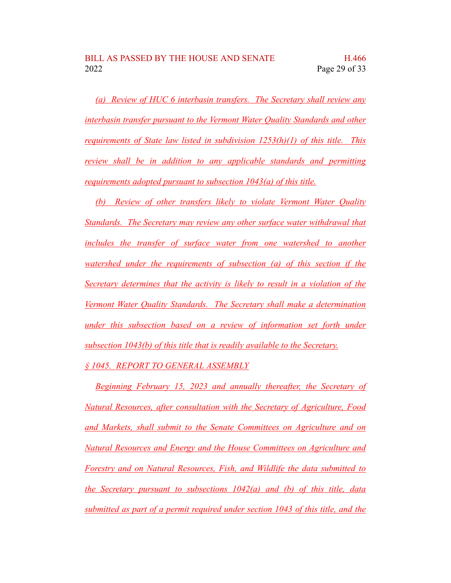*(a) Review of HUC 6 interbasin transfers. The Secretary shall review any interbasin transfer pursuant to the Vermont Water Quality Standards and other requirements of State law listed in subdivision 1253(h)(1) of this title. This review shall be in addition to any applicable standards and permitting requirements adopted pursuant to subsection 1043(a) of this title.*

*(b) Review of other transfers likely to violate Vermont Water Quality Standards. The Secretary may review any other surface water withdrawal that includes the transfer of surface water from one watershed to another watershed under the requirements of subsection (a) of this section if the Secretary determines that the activity is likely to result in a violation of the Vermont Water Quality Standards. The Secretary shall make a determination under this subsection based on a review of information set forth under subsection 1043(b) of this title that is readily available to the Secretary.*

#### *§ 1045. REPORT TO GENERAL ASSEMBLY*

*Beginning February 15, 2023 and annually thereafter, the Secretary of Natural Resources, after consultation with the Secretary of Agriculture, Food and Markets, shall submit to the Senate Committees on Agriculture and on Natural Resources and Energy and the House Committees on Agriculture and Forestry and on Natural Resources, Fish, and Wildlife the data submitted to the Secretary pursuant to subsections 1042(a) and (b) of this title, data submitted as part of a permit required under section 1043 of this title, and the*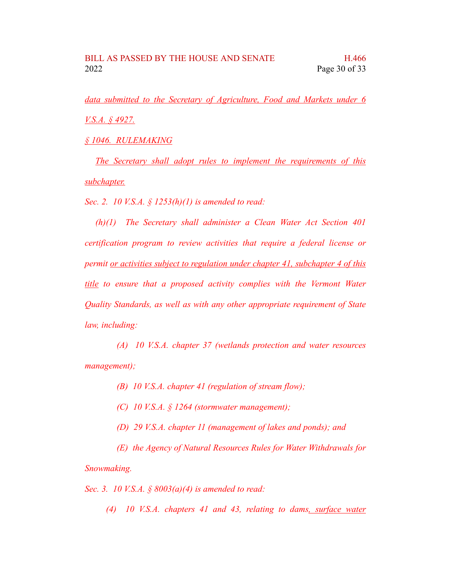*data submitted to the Secretary of Agriculture, Food and Markets under 6 V.S.A. § 4927.*

*§ 1046. RULEMAKING*

*The Secretary shall adopt rules to implement the requirements of this subchapter.*

*Sec. 2. 10 V.S.A. § 1253(h)(1) is amended to read:*

*(h)(1) The Secretary shall administer a Clean Water Act Section 401 certification program to review activities that require a federal license or permit or activities subject to regulation under chapter 41, subchapter 4 of this title to ensure that a proposed activity complies with the Vermont Water Quality Standards, as well as with any other appropriate requirement of State law, including:*

*(A) 10 V.S.A. chapter 37 (wetlands protection and water resources management);*

*(B) 10 V.S.A. chapter 41 (regulation of stream flow);*

*(C) 10 V.S.A. § 1264 (stormwater management);*

*(D) 29 V.S.A. chapter 11 (management of lakes and ponds); and*

*(E) the Agency of Natural Resources Rules for Water Withdrawals for Snowmaking.*

*Sec. 3. 10 V.S.A. § 8003(a)(4) is amended to read:*

*(4) 10 V.S.A. chapters 41 and 43, relating to dams, surface water*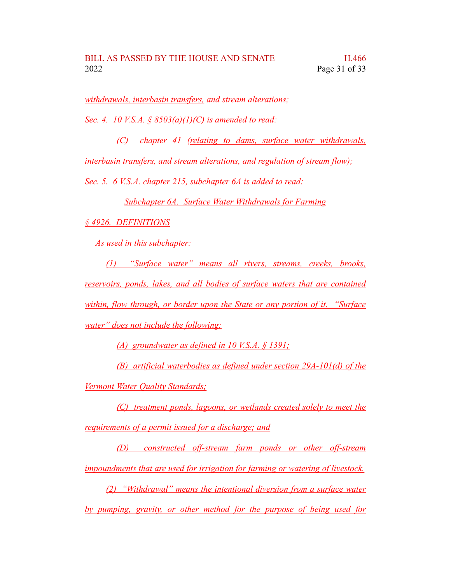*withdrawals, interbasin transfers, and stream alterations;*

*Sec. 4. 10 V.S.A. § 8503(a)(1)(C) is amended to read:*

*(C) chapter 41 (relating to dams, surface water withdrawals, interbasin transfers, and stream alterations, and regulation of stream flow);*

*Sec. 5. 6 V.S.A. chapter 215, subchapter 6A is added to read:*

*Subchapter 6A. Surface Water Withdrawals for Farming*

*§ 4926. DEFINITIONS*

*As used in this subchapter:*

*(1) "Surface water" means all rivers, streams, creeks, brooks, reservoirs, ponds, lakes, and all bodies of surface waters that are contained within, flow through, or border upon the State or any portion of it. "Surface water" does not include the following:*

*(A) groundwater as defined in 10 V.S.A. § 1391;*

*(B) artificial waterbodies as defined under section 29A-101(d) of the Vermont Water Quality Standards;*

*(C) treatment ponds, lagoons, or wetlands created solely to meet the requirements of a permit issued for a discharge; and*

*(D) constructed off-stream farm ponds or other off-stream impoundments that are used for irrigation for farming or watering of livestock.*

*(2) "Withdrawal" means the intentional diversion from a surface water by pumping, gravity, or other method for the purpose of being used for*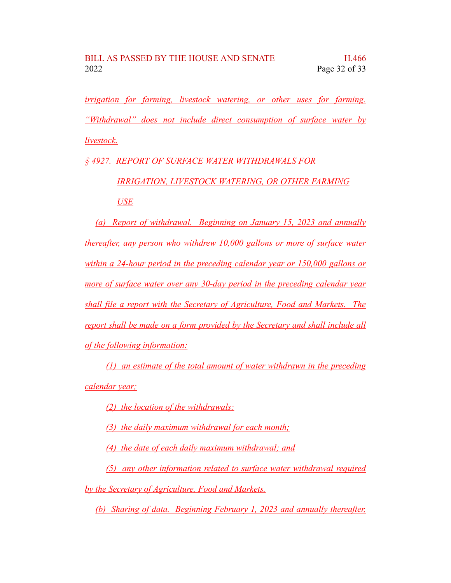*irrigation for farming, livestock watering, or other uses for farming. "Withdrawal" does not include direct consumption of surface water by livestock.*

*§ 4927. REPORT OF SURFACE WATER WITHDRAWALS FOR*

*IRRIGATION, LIVESTOCK WATERING, OR OTHER FARMING USE*

*(a) Report of withdrawal. Beginning on January 15, 2023 and annually thereafter, any person who withdrew 10,000 gallons or more of surface water within a 24-hour period in the preceding calendar year or 150,000 gallons or more of surface water over any 30-day period in the preceding calendar year shall file a report with the Secretary of Agriculture, Food and Markets. The report shall be made on a form provided by the Secretary and shall include all of the following information:*

*(1) an estimate of the total amount of water withdrawn in the preceding calendar year;*

*(2) the location of the withdrawals;*

*(3) the daily maximum withdrawal for each month;*

*(4) the date of each daily maximum withdrawal; and*

*(5) any other information related to surface water withdrawal required*

*by the Secretary of Agriculture, Food and Markets.*

*(b) Sharing of data. Beginning February 1, 2023 and annually thereafter,*